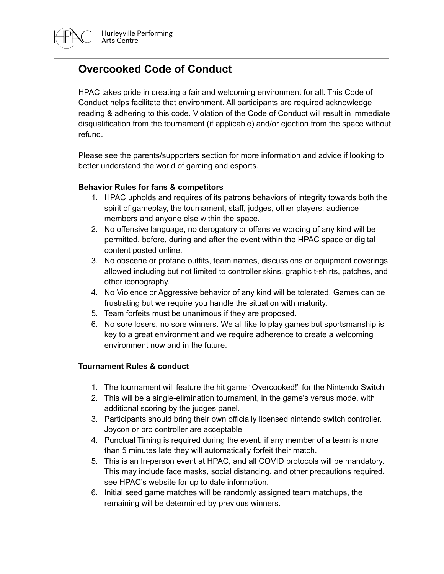

HPAC takes pride in creating a fair and welcoming environment for all. This Code of Conduct helps facilitate that environment. All participants are required acknowledge reading & adhering to this code. Violation of the Code of Conduct will result in immediate disqualification from the tournament (if applicable) and/or ejection from the space without refund.

Please see the parents/supporters section for more information and advice if looking to better understand the world of gaming and esports.

## **Behavior Rules for fans & competitors**

- 1. HPAC upholds and requires of its patrons behaviors of integrity towards both the spirit of gameplay, the tournament, staff, judges, other players, audience members and anyone else within the space.
- 2. No offensive language, no derogatory or offensive wording of any kind will be permitted, before, during and after the event within the HPAC space or digital content posted online.
- 3. No obscene or profane outfits, team names, discussions or equipment coverings allowed including but not limited to controller skins, graphic t-shirts, patches, and other iconography.
- 4. No Violence or Aggressive behavior of any kind will be tolerated. Games can be frustrating but we require you handle the situation with maturity.
- 5. Team forfeits must be unanimous if they are proposed.
- 6. No sore losers, no sore winners. We all like to play games but sportsmanship is key to a great environment and we require adherence to create a welcoming environment now and in the future.

## **Tournament Rules & conduct**

- 1. The tournament will feature the hit game "Overcooked!" for the Nintendo Switch
- 2. This will be a single-elimination tournament, in the game's versus mode, with additional scoring by the judges panel.
- 3. Participants should bring their own officially licensed nintendo switch controller. Joycon or pro controller are acceptable
- 4. Punctual Timing is required during the event, if any member of a team is more than 5 minutes late they will automatically forfeit their match.
- 5. This is an In-person event at HPAC, and all COVID protocols will be mandatory. This may include face masks, social distancing, and other precautions required, see HPAC's website for up to date information.
- 6. Initial seed game matches will be randomly assigned team matchups, the remaining will be determined by previous winners.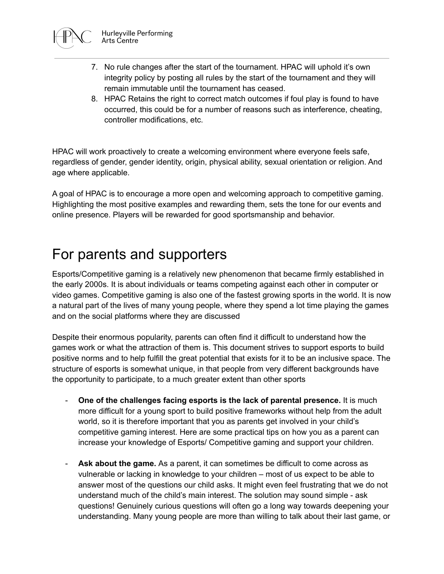

- 7. No rule changes after the start of the tournament. HPAC will uphold it's own integrity policy by posting all rules by the start of the tournament and they will remain immutable until the tournament has ceased.
- 8. HPAC Retains the right to correct match outcomes if foul play is found to have occurred, this could be for a number of reasons such as interference, cheating, controller modifications, etc.

HPAC will work proactively to create a welcoming environment where everyone feels safe, regardless of gender, gender identity, origin, physical ability, sexual orientation or religion. And age where applicable.

A goal of HPAC is to encourage a more open and welcoming approach to competitive gaming. Highlighting the most positive examples and rewarding them, sets the tone for our events and online presence. Players will be rewarded for good sportsmanship and behavior.

## For parents and supporters

Esports/Competitive gaming is a relatively new phenomenon that became firmly established in the early 2000s. It is about individuals or teams competing against each other in computer or video games. Competitive gaming is also one of the fastest growing sports in the world. It is now a natural part of the lives of many young people, where they spend a lot time playing the games and on the social platforms where they are discussed

Despite their enormous popularity, parents can often find it difficult to understand how the games work or what the attraction of them is. This document strives to support esports to build positive norms and to help fulfill the great potential that exists for it to be an inclusive space. The structure of esports is somewhat unique, in that people from very different backgrounds have the opportunity to participate, to a much greater extent than other sports

- **One of the challenges facing esports is the lack of parental presence.** It is much more difficult for a young sport to build positive frameworks without help from the adult world, so it is therefore important that you as parents get involved in your child's competitive gaming interest. Here are some practical tips on how you as a parent can increase your knowledge of Esports/ Competitive gaming and support your children.
- **Ask about the game.** As a parent, it can sometimes be difficult to come across as vulnerable or lacking in knowledge to your children – most of us expect to be able to answer most of the questions our child asks. It might even feel frustrating that we do not understand much of the child's main interest. The solution may sound simple - ask questions! Genuinely curious questions will often go a long way towards deepening your understanding. Many young people are more than willing to talk about their last game, or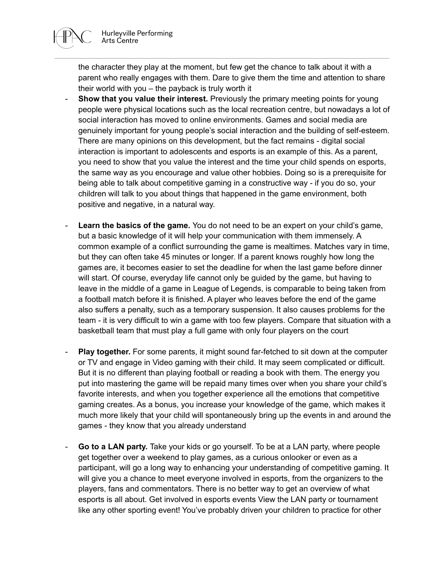

the character they play at the moment, but few get the chance to talk about it with a parent who really engages with them. Dare to give them the time and attention to share their world with you – the payback is truly worth it

- **Show that you value their interest.** Previously the primary meeting points for young people were physical locations such as the local recreation centre, but nowadays a lot of social interaction has moved to online environments. Games and social media are genuinely important for young people's social interaction and the building of self-esteem. There are many opinions on this development, but the fact remains - digital social interaction is important to adolescents and esports is an example of this. As a parent, you need to show that you value the interest and the time your child spends on esports, the same way as you encourage and value other hobbies. Doing so is a prerequisite for being able to talk about competitive gaming in a constructive way - if you do so, your children will talk to you about things that happened in the game environment, both positive and negative, in a natural way.
- **Learn the basics of the game.** You do not need to be an expert on your child's game, but a basic knowledge of it will help your communication with them immensely. A common example of a conflict surrounding the game is mealtimes. Matches vary in time, but they can often take 45 minutes or longer. If a parent knows roughly how long the games are, it becomes easier to set the deadline for when the last game before dinner will start. Of course, everyday life cannot only be guided by the game, but having to leave in the middle of a game in League of Legends, is comparable to being taken from a football match before it is finished. A player who leaves before the end of the game also suffers a penalty, such as a temporary suspension. It also causes problems for the team - it is very difficult to win a game with too few players. Compare that situation with a basketball team that must play a full game with only four players on the court
- **Play together.** For some parents, it might sound far-fetched to sit down at the computer or TV and engage in Video gaming with their child. It may seem complicated or difficult. But it is no different than playing football or reading a book with them. The energy you put into mastering the game will be repaid many times over when you share your child's favorite interests, and when you together experience all the emotions that competitive gaming creates. As a bonus, you increase your knowledge of the game, which makes it much more likely that your child will spontaneously bring up the events in and around the games - they know that you already understand
- **Go to a LAN party.** Take your kids or go yourself. To be at a LAN party, where people get together over a weekend to play games, as a curious onlooker or even as a participant, will go a long way to enhancing your understanding of competitive gaming. It will give you a chance to meet everyone involved in esports, from the organizers to the players, fans and commentators. There is no better way to get an overview of what esports is all about. Get involved in esports events View the LAN party or tournament like any other sporting event! You've probably driven your children to practice for other